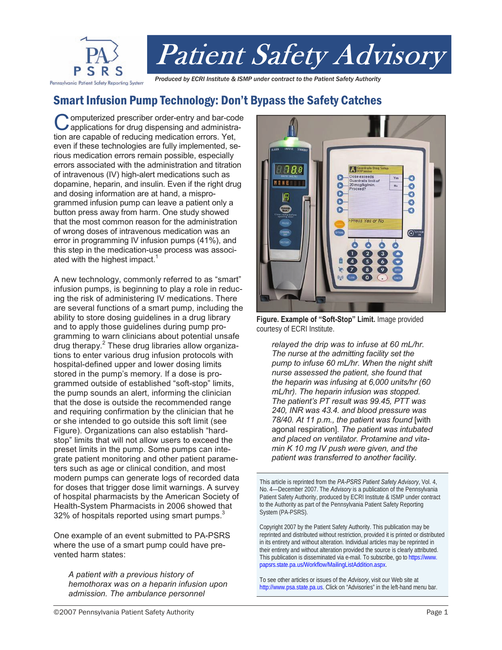

# Smart Infusion Pump Technology: Don't Bypass the Safety Catches

**Omputerized prescriber order-entry and bar-code** applications for drug dispensing and administration are capable of reducing medication errors. Yet, even if these technologies are fully implemented, serious medication errors remain possible, especially errors associated with the administration and titration of intravenous (IV) high-alert medications such as dopamine, heparin, and insulin. Even if the right drug and dosing information are at hand, a misprogrammed infusion pump can leave a patient only a button press away from harm. One study showed that the most common reason for the administration of wrong doses of intravenous medication was an error in programming IV infusion pumps (41%), and this step in the medication-use process was associated with the highest impact.<sup>1</sup>

A new technology, commonly referred to as "smart" infusion pumps, is beginning to play a role in reducing the risk of administering IV medications. There are several functions of a smart pump, including the ability to store dosing guidelines in a drug library and to apply those guidelines during pump programming to warn clinicians about potential unsafe drug therapy.<sup>2</sup> These drug libraries allow organizations to enter various drug infusion protocols with hospital-defined upper and lower dosing limits stored in the pump's memory. If a dose is programmed outside of established "soft-stop" limits, the pump sounds an alert, informing the clinician that the dose is outside the recommended range and requiring confirmation by the clinician that he or she intended to go outside this soft limit (see Figure). Organizations can also establish "hardstop" limits that will not allow users to exceed the preset limits in the pump. Some pumps can integrate patient monitoring and other patient parameters such as age or clinical condition, and most modern pumps can generate logs of recorded data for doses that trigger dose limit warnings. A survey of hospital pharmacists by the American Society of Health-System Pharmacists in 2006 showed that 32% of hospitals reported using smart pumps. $3$ 

One example of an event submitted to PA-PSRS where the use of a smart pump could have prevented harm states:

*A patient with a previous history of hemothorax was on a heparin infusion upon admission. The ambulance personnel* 



**Figure. Example of "Soft-Stop" Limit.** Image provided courtesy of ECRI Institute.

*relayed the drip was to infuse at 60 mL/hr. The nurse at the admitting facility set the pump to infuse 60 mL/hr. When the night shift nurse assessed the patient, she found that the heparin was infusing at 6,000 units/hr (60 mL/hr). The heparin infusion was stopped. The patient's PT result was 99.45, PTT was 240, INR was 43.4. and blood pressure was 78/40. At 11 p.m., the patient was found* [with agonal respiration]*. The patient was intubated and placed on ventilator. Protamine and vitamin K 10 mg IV push were given, and the patient was transferred to another facility.*

This article is reprinted from the *PA-PSRS Patient Safety Advisory*, Vol. 4, No. 4—December 2007. The *Advisory* is a publication of the Pennsylvania Patient Safety Authority, produced by ECRI Institute & ISMP under contract to the Authority as part of the Pennsylvania Patient Safety Reporting System (PA-PSRS).

Copyright 2007 by the Patient Safety Authority. This publication may be reprinted and distributed without restriction, provided it is printed or distributed in its entirety and without alteration. Individual articles may be reprinted in their entirety and without alteration provided the source is clearly attributed. This publication is disseminated via e-mail. To subscribe, go t[o https://www.](https://www.papsrs.state.pa.us/Workflow/MailingListAddition.aspx)  [papsrs.state.pa.us/Workflow/MailingListAddition.aspx.](https://www.papsrs.state.pa.us/Workflow/MailingListAddition.aspx) 

To see other articles or issues of the *Advisory*, visit our Web site at [http://www.psa.state.pa.us.](http://www.psa.state.pa.us) Click on "Advisories" in the left-hand menu bar.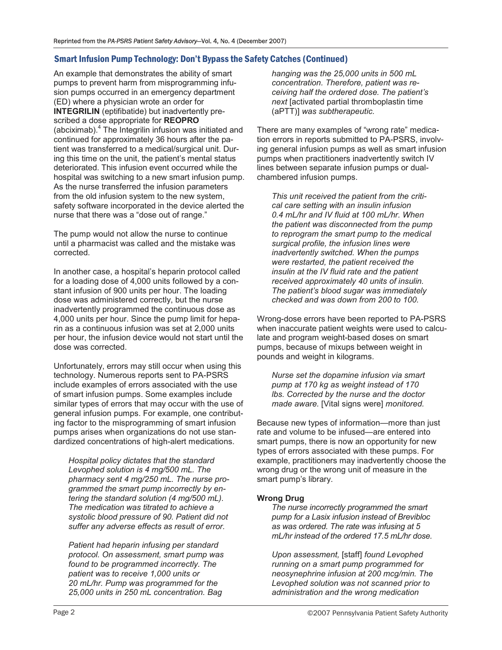## Smart Infusion Pump Technology: Don't Bypass the Safety Catches (Continued)

An example that demonstrates the ability of smart pumps to prevent harm from misprogramming infusion pumps occurred in an emergency department (ED) where a physician wrote an order for **INTEGRILIN** (eptifibatide) but inadvertently prescribed a dose appropriate for **REOPRO**  (abciximab).<sup>4</sup> The Integrilin infusion was initiated and continued for approximately 36 hours after the patient was transferred to a medical/surgical unit. During this time on the unit, the patient's mental status deteriorated. This infusion event occurred while the hospital was switching to a new smart infusion pump. As the nurse transferred the infusion parameters from the old infusion system to the new system, safety software incorporated in the device alerted the nurse that there was a "dose out of range."

The pump would not allow the nurse to continue until a pharmacist was called and the mistake was corrected.

In another case, a hospital's heparin protocol called for a loading dose of 4,000 units followed by a constant infusion of 900 units per hour. The loading dose was administered correctly, but the nurse inadvertently programmed the continuous dose as 4,000 units per hour. Since the pump limit for heparin as a continuous infusion was set at 2,000 units per hour, the infusion device would not start until the dose was corrected.

Unfortunately, errors may still occur when using this technology. Numerous reports sent to PA-PSRS include examples of errors associated with the use of smart infusion pumps. Some examples include similar types of errors that may occur with the use of general infusion pumps. For example, one contributing factor to the misprogramming of smart infusion pumps arises when organizations do not use standardized concentrations of high-alert medications.

*Hospital policy dictates that the standard Levophed solution is 4 mg/500 mL. The pharmacy sent 4 mg/250 mL. The nurse programmed the smart pump incorrectly by entering the standard solution (4 mg/500 mL). The medication was titrated to achieve a systolic blood pressure of 90. Patient did not suffer any adverse effects as result of error.*

*Patient had heparin infusing per standard protocol. On assessment, smart pump was found to be programmed incorrectly. The patient was to receive 1,000 units or 20 mL/hr. Pump was programmed for the 25,000 units in 250 mL concentration. Bag* 

*hanging was the 25,000 units in 500 mL concentration. Therefore, patient was receiving half the ordered dose. The patient's next* [activated partial thromboplastin time (aPTT)] *was subtherapeutic.* 

There are many examples of "wrong rate" medication errors in reports submitted to PA-PSRS, involving general infusion pumps as well as smart infusion pumps when practitioners inadvertently switch IV lines between separate infusion pumps or dualchambered infusion pumps.

*This unit received the patient from the critical care setting with an insulin infusion 0.4 mL/hr and IV fluid at 100 mL/hr. When the patient was disconnected from the pump to reprogram the smart pump to the medical surgical profile, the infusion lines were inadvertently switched. When the pumps were restarted, the patient received the insulin at the IV fluid rate and the patient received approximately 40 units of insulin. The patient's blood sugar was immediately checked and was down from 200 to 100.*

Wrong-dose errors have been reported to PA-PSRS when inaccurate patient weights were used to calculate and program weight-based doses on smart pumps, because of mixups between weight in pounds and weight in kilograms.

*Nurse set the dopamine infusion via smart pump at 170 kg as weight instead of 170 lbs. Corrected by the nurse and the doctor made aware.* [Vital signs were] *monitored.*

Because new types of information—more than just rate and volume to be infused—are entered into smart pumps, there is now an opportunity for new types of errors associated with these pumps. For example, practitioners may inadvertently choose the wrong drug or the wrong unit of measure in the smart pump's library.

## **Wrong Drug**

*The nurse incorrectly programmed the smart pump for a Lasix infusion instead of Brevibloc as was ordered. The rate was infusing at 5 mL/hr instead of the ordered 17.5 mL/hr dose.* 

*Upon assessment,* [staff] *found Levophed running on a smart pump programmed for neosynephrine infusion at 200 mcg/min. The Levophed solution was not scanned prior to administration and the wrong medication*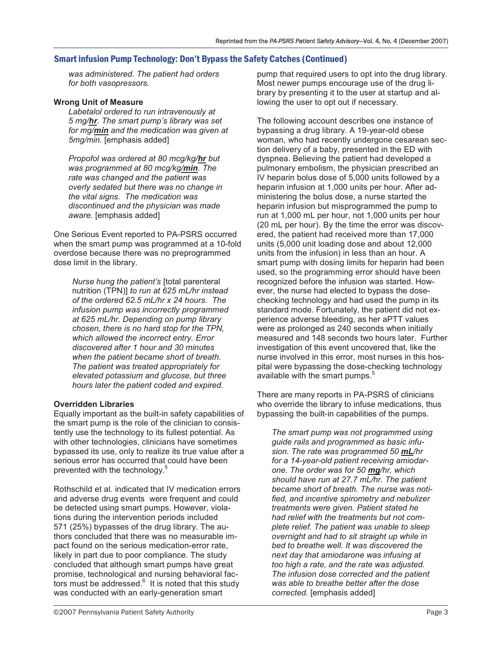## Smart infusion Pump Technology: Don't Bypass the Safety Catches (Continued)

*was administered. The patient had orders for both vasopressors.*

## **Wrong Unit of Measure**

*Labetalol ordered to run intravenously at 5 mg/hr. The smart pump's library was set for mg/min and the medication was given at 5mg/min.* [emphasis added]

*Propofol was ordered at 80 mcg/kg/hr but was programmed at 80 mcg/kg/min. The rate was changed and the patient was overly sedated but there was no change in the vital signs. The medication was discontinued and the physician was made aware.* [emphasis added]

One Serious Event reported to PA-PSRS occurred when the smart pump was programmed at a 10-fold overdose because there was no preprogrammed dose limit in the library.

*Nurse hung the patient's* [total parenteral nutrition (TPN)] *to run at 625 mL/hr instead of the ordered 62.5 mL/hr x 24 hours. The infusion pump was incorrectly programmed at 625 mL/hr. Depending on pump library chosen, there is no hard stop for the TPN, which allowed the incorrect entry. Error discovered after 1 hour and 30 minutes when the patient became short of breath. The patient was treated appropriately for elevated potassium and glucose, but three hours later the patient coded and expired.*

## **Overridden Libraries**

Equally important as the built-in safety capabilities of the smart pump is the role of the clinician to consistently use the technology to its fullest potential. As with other technologies, clinicians have sometimes bypassed its use, only to realize its true value after a serious error has occurred that could have been prevented with the technology.<sup>5</sup>

Rothschild et al. indicated that IV medication errors and adverse drug events were frequent and could be detected using smart pumps. However, violations during the intervention periods included 571 (25%) bypasses of the drug library. The authors concluded that there was no measurable impact found on the serious medication-error rate, likely in part due to poor compliance. The study concluded that although smart pumps have great promise, technological and nursing behavioral factors must be addressed. $6$  It is noted that this study was conducted with an early-generation smart

pump that required users to opt into the drug library. Most newer pumps encourage use of the drug library by presenting it to the user at startup and allowing the user to opt out if necessary.

The following account describes one instance of bypassing a drug library. A 19-year-old obese woman, who had recently undergone cesarean section delivery of a baby, presented in the ED with dyspnea. Believing the patient had developed a pulmonary embolism, the physician prescribed an IV heparin bolus dose of 5,000 units followed by a heparin infusion at 1,000 units per hour. After administering the bolus dose, a nurse started the heparin infusion but misprogrammed the pump to run at 1,000 mL per hour, not 1,000 units per hour (20 mL per hour). By the time the error was discovered, the patient had received more than 17,000 units (5,000 unit loading dose and about 12,000 units from the infusion) in less than an hour. A smart pump with dosing limits for heparin had been used, so the programming error should have been recognized before the infusion was started. However, the nurse had elected to bypass the dosechecking technology and had used the pump in its standard mode. Fortunately, the patient did not experience adverse bleeding, as her aPTT values were as prolonged as 240 seconds when initially measured and 148 seconds two hours later. Further investigation of this event uncovered that, like the nurse involved in this error, most nurses in this hospital were bypassing the dose-checking technology available with the smart pumps. $5$ 

There are many reports in PA-PSRS of clinicians who override the library to infuse medications, thus bypassing the built-in capabilities of the pumps.

*The smart pump was not programmed using guide rails and programmed as basic infusion. The rate was programmed 50 mL/hr for a 14-year-old patient receiving amiodarone. The order was for 50 mg/hr, which should have run at 27.7 mL/hr. The patient became short of breath. The nurse was notified, and incentive spirometry and nebulizer treatments were given. Patient stated he had relief with the treatments but not complete relief. The patient was unable to sleep overnight and had to sit straight up while in bed to breathe well. It was discovered the next day that amiodarone was infusing at too high a rate, and the rate was adjusted. The infusion dose corrected and the patient was able to breathe better after the dose corrected.* [emphasis added]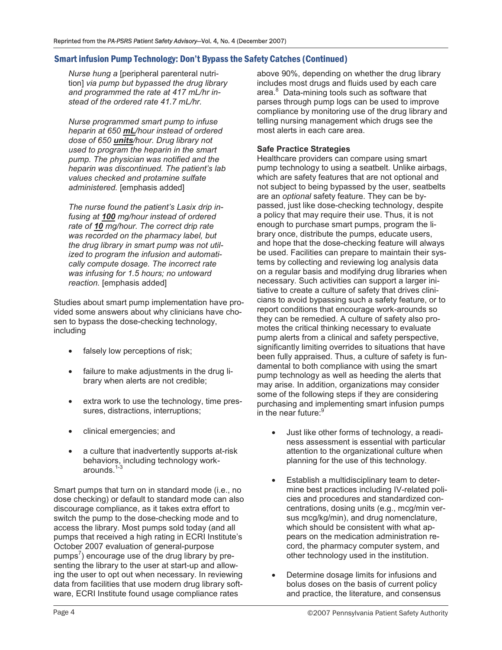## Smart infusion Pump Technology: Don't Bypass the Safety Catches (Continued)

*Nurse hung a* [peripheral parenteral nutrition] *via pump but bypassed the drug library and programmed the rate at 417 mL/hr instead of the ordered rate 41.7 mL/hr.*

*Nurse programmed smart pump to infuse heparin at 650 mL/hour instead of ordered dose of 650 units/hour. Drug library not used to program the heparin in the smart pump. The physician was notified and the heparin was discontinued. The patient's lab values checked and protamine sulfate administered.* [emphasis added]

*The nurse found the patient's Lasix drip infusing at 100 mg/hour instead of ordered rate of 10 mg/hour. The correct drip rate was recorded on the pharmacy label, but the drug library in smart pump was not utilized to program the infusion and automatically compute dosage. The incorrect rate was infusing for 1.5 hours; no untoward reaction.* [emphasis added]

Studies about smart pump implementation have provided some answers about why clinicians have chosen to bypass the dose-checking technology, including

- falsely low perceptions of risk;
- failure to make adjustments in the drug library when alerts are not credible;
- extra work to use the technology, time pressures, distractions, interruptions;
- clinical emergencies; and
- a culture that inadvertently supports at-risk behaviors, including technology workarounds.<sup>1-3</sup>

Smart pumps that turn on in standard mode (i.e., no dose checking) or default to standard mode can also discourage compliance, as it takes extra effort to switch the pump to the dose-checking mode and to access the library. Most pumps sold today (and all pumps that received a high rating in ECRI Institute's October 2007 evaluation of general-purpose pumps<sup>7</sup>) encourage use of the drug library by presenting the library to the user at start-up and allowing the user to opt out when necessary. In reviewing data from facilities that use modern drug library software, ECRI Institute found usage compliance rates

above 90%, depending on whether the drug library includes most drugs and fluids used by each care area.<sup>8</sup> Data-mining tools such as software that parses through pump logs can be used to improve compliance by monitoring use of the drug library and telling nursing management which drugs see the most alerts in each care area.

## **Safe Practice Strategies**

Healthcare providers can compare using smart pump technology to using a seatbelt. Unlike airbags, which are safety features that are not optional and not subject to being bypassed by the user, seatbelts are an *optional* safety feature. They can be bypassed, just like dose-checking technology, despite a policy that may require their use. Thus, it is not enough to purchase smart pumps, program the library once, distribute the pumps, educate users, and hope that the dose-checking feature will always be used. Facilities can prepare to maintain their systems by collecting and reviewing log analysis data on a regular basis and modifying drug libraries when necessary. Such activities can support a larger initiative to create a culture of safety that drives clinicians to avoid bypassing such a safety feature, or to report conditions that encourage work-arounds so they can be remedied. A culture of safety also promotes the critical thinking necessary to evaluate pump alerts from a clinical and safety perspective, significantly limiting overrides to situations that have been fully appraised. Thus, a culture of safety is fundamental to both compliance with using the smart pump technology as well as heeding the alerts that may arise. In addition, organizations may consider some of the following steps if they are considering purchasing and implementing smart infusion pumps in the near future:<sup>9</sup>

- Just like other forms of technology, a readiness assessment is essential with particular attention to the organizational culture when planning for the use of this technology.
- Establish a multidisciplinary team to determine best practices including IV-related policies and procedures and standardized concentrations, dosing units (e.g., mcg/min versus mcg/kg/min), and drug nomenclature, which should be consistent with what appears on the medication administration record, the pharmacy computer system, and other technology used in the institution.
- Determine dosage limits for infusions and bolus doses on the basis of current policy and practice, the literature, and consensus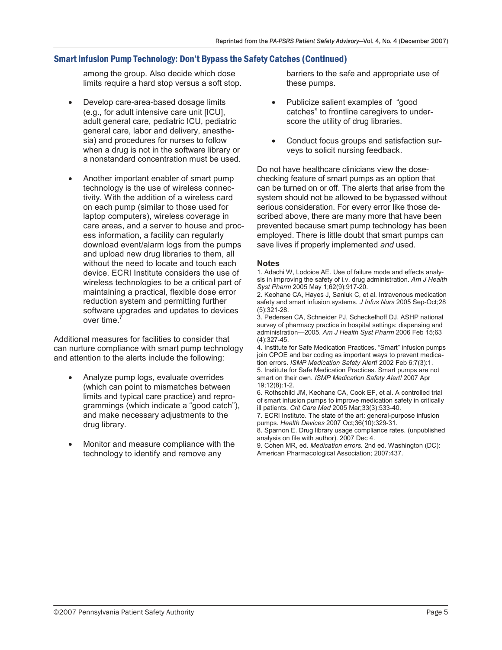## Smart infusion Pump Technology: Don't Bypass the Safety Catches (Continued)

among the group. Also decide which dose limits require a hard stop versus a soft stop.

- Develop care-area-based dosage limits (e.g., for adult intensive care unit [ICU], adult general care, pediatric ICU, pediatric general care, labor and delivery, anesthesia) and procedures for nurses to follow when a drug is not in the software library or a nonstandard concentration must be used.
- Another important enabler of smart pump technology is the use of wireless connectivity. With the addition of a wireless card on each pump (similar to those used for laptop computers), wireless coverage in care areas, and a server to house and process information, a facility can regularly download event/alarm logs from the pumps and upload new drug libraries to them, all without the need to locate and touch each device. ECRI Institute considers the use of wireless technologies to be a critical part of maintaining a practical, flexible dose error reduction system and permitting further software upgrades and updates to devices over time.<sup>7</sup>

Additional measures for facilities to consider that can nurture compliance with smart pump technology and attention to the alerts include the following:

- Analyze pump logs, evaluate overrides (which can point to mismatches between limits and typical care practice) and reprogrammings (which indicate a "good catch"), and make necessary adjustments to the drug library.
- Monitor and measure compliance with the technology to identify and remove any

barriers to the safe and appropriate use of these pumps.

- Publicize salient examples of "good catches" to frontline caregivers to underscore the utility of drug libraries.
- Conduct focus groups and satisfaction surveys to solicit nursing feedback.

Do not have healthcare clinicians view the dosechecking feature of smart pumps as an option that can be turned on or off. The alerts that arise from the system should not be allowed to be bypassed without serious consideration. For every error like those described above, there are many more that have been prevented because smart pump technology has been employed. There is little doubt that smart pumps can save lives if properly implemented *and* used.

#### **Notes**

1. Adachi W, Lodoice AE. Use of failure mode and effects analysis in improving the safety of i.v. drug administration. *Am J Health Syst Pharm* 2005 May 1;62(9):917-20.

2. Keohane CA, Hayes J, Saniuk C, et al. Intravenous medication safety and smart infusion systems. *J Infus Nurs* 2005 Sep-Oct;28 (5):321-28.

3. Pedersen CA, Schneider PJ, Scheckelhoff DJ. ASHP national survey of pharmacy practice in hospital settings: dispensing and administration—2005. *Am J Health Syst Pharm* 2006 Feb 15;63 (4):327-45.

4. Institute for Safe Medication Practices. "Smart" infusion pumps join CPOE and bar coding as important ways to prevent medication errors. *ISMP Medication Safety Alert!* 2002 Feb 6;7(3):1.

5. Institute for Safe Medication Practices. Smart pumps are not smart on their own. *ISMP Medication Safety Alert!* 2007 Apr 19;12(8):1-2.

6. Rothschild JM, Keohane CA, Cook EF, et al. A controlled trial of smart infusion pumps to improve medication safety in critically ill patients. *Crit Care Med* 2005 Mar;33(3):533-40.

7. ECRI Institute. The state of the art: general-purpose infusion pumps. *Health Devices* 2007 Oct;36(10):329-31.

8. Sparnon E. Drug library usage compliance rates. (unpublished analysis on file with author). 2007 Dec 4.

9. Cohen MR, ed. *Medication errors.* 2nd ed. Washington (DC): American Pharmacological Association; 2007:437.